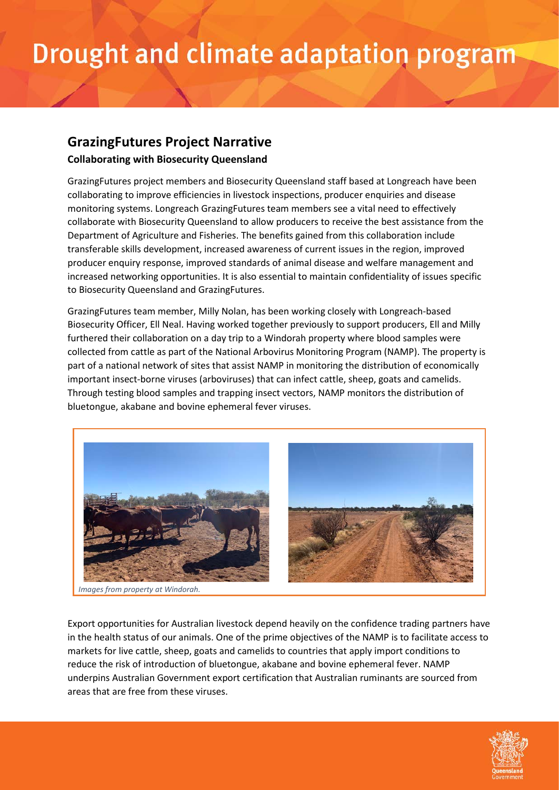## Drought and climate adaptation program

## **GrazingFutures Project Narrative**

## **Collaborating with Biosecurity Queensland**

GrazingFutures project members and Biosecurity Queensland staff based at Longreach have been collaborating to improve efficiencies in livestock inspections, producer enquiries and disease monitoring systems. Longreach GrazingFutures team members see a vital need to effectively collaborate with Biosecurity Queensland to allow producers to receive the best assistance from the Department of Agriculture and Fisheries. The benefits gained from this collaboration include transferable skills development, increased awareness of current issues in the region, improved producer enquiry response, improved standards of animal disease and welfare management and increased networking opportunities. It is also essential to maintain confidentiality of issues specific to Biosecurity Queensland and GrazingFutures.

GrazingFutures team member, Milly Nolan, has been working closely with Longreach-based Biosecurity Officer, Ell Neal. Having worked together previously to support producers, Ell and Milly furthered their collaboration on a day trip to a Windorah property where blood samples were collected from cattle as part of the National Arbovirus Monitoring Program (NAMP). The property is part of a national network of sites that assist NAMP in monitoring the distribution of economically important insect-borne viruses (arboviruses) that can infect cattle, sheep, goats and camelids. Through testing blood samples and trapping insect vectors, NAMP monitors the distribution of bluetongue, akabane and bovine ephemeral fever viruses.



*Images from property at Windorah.*

Export opportunities for Australian livestock depend heavily on the confidence trading partners have in the health status of our animals. One of the prime objectives of the NAMP is to facilitate access to markets for live cattle, sheep, goats and camelids to countries that apply import conditions to reduce the risk of introduction of bluetongue, akabane and bovine ephemeral fever. NAMP underpins Australian Government export certification that Australian ruminants are sourced from areas that are free from these viruses.